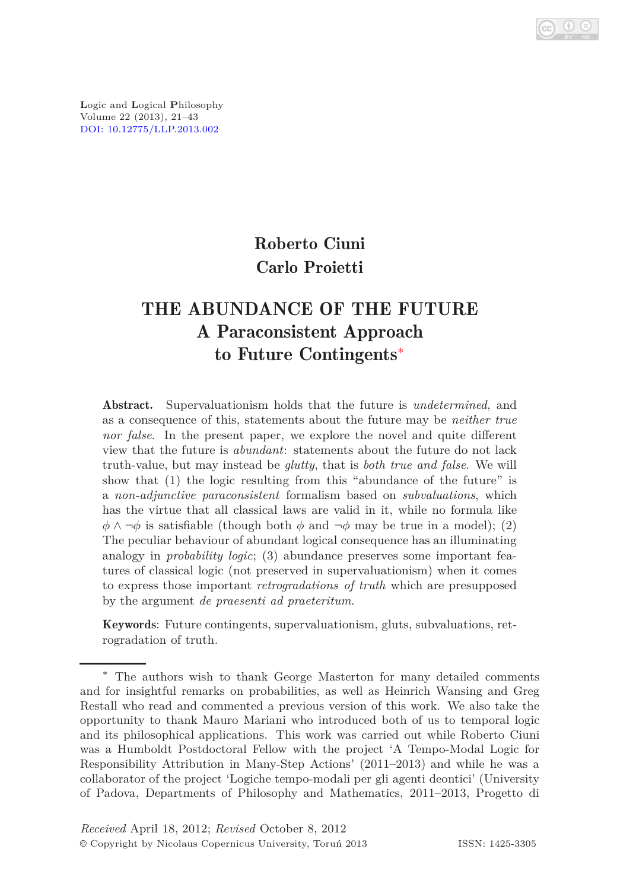**L**ogic and **L**ogical **P**hilosophy Volume 22 (2013), 21–43 [DOI: 10.12775/LLP.2013.002](http://dx.doi.org/10.12775/LLP.2013.002)

# Roberto Ciuni Carlo Proietti

# THE ABUNDANCE OF THE FUTURE A Paraconsistent Approach to Future Contingents[∗](#page-0-0)

Abstract. Supervaluationism holds that the future is *undetermined*, and as a consequence of this, statements about the future may be *neither true nor false*. In the present paper, we explore the novel and quite different view that the future is *abundant*: statements about the future do not lack truth-value, but may instead be *glutty*, that is *both true and false*. We will show that (1) the logic resulting from this "abundance of the future" is a *non-adjunctive paraconsistent* formalism based on *subvaluations*, which has the virtue that all classical laws are valid in it, while no formula like  $\phi \land \neg \phi$  is satisfiable (though both  $\phi$  and  $\neg \phi$  may be true in a model); (2) The peculiar behaviour of abundant logical consequence has an illuminating analogy in *probability logic*; (3) abundance preserves some important features of classical logic (not preserved in supervaluationism) when it comes to express those important *retrogradations of truth* which are presupposed by the argument *de praesenti ad praeteritum*.

Keywords: Future contingents, supervaluationism, gluts, subvaluations, retrogradation of truth.

<span id="page-0-0"></span><sup>∗</sup> The authors wish to thank George Masterton for many detailed comments and for insightful remarks on probabilities, as well as Heinrich Wansing and Greg Restall who read and commented a previous version of this work. We also take the opportunity to thank Mauro Mariani who introduced both of us to temporal logic and its philosophical applications. This work was carried out while Roberto Ciuni was a Humboldt Postdoctoral Fellow with the project 'A Tempo-Modal Logic for Responsibility Attribution in Many-Step Actions' (2011–2013) and while he was a collaborator of the project 'Logiche tempo-modali per gli agenti deontici' (University of Padova, Departments of Philosophy and Mathematics, 2011–2013, Progetto di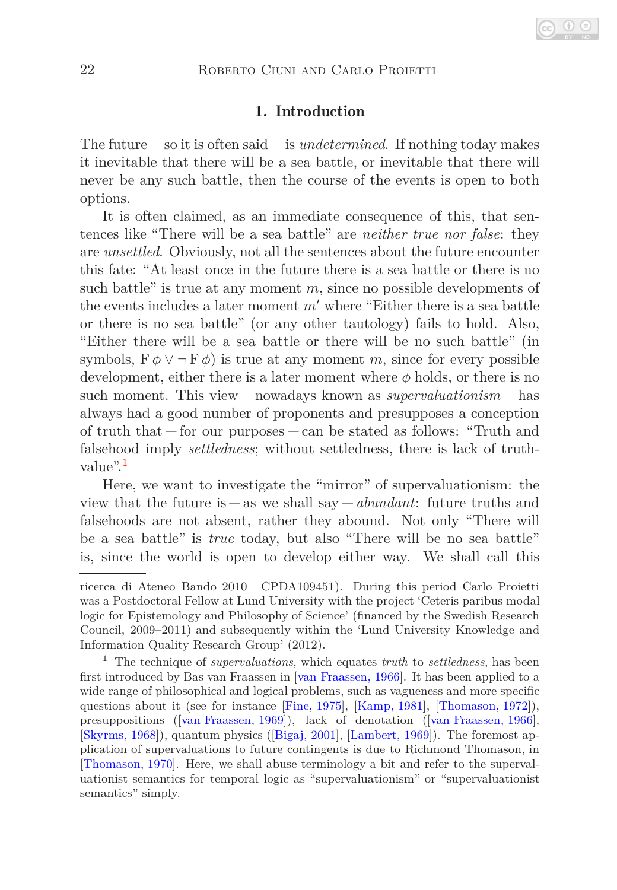# 1. Introduction

The future  $-\text{ so it is often said — is undetermined. If nothing today makes$ it inevitable that there will be a sea battle, or inevitable that there will never be any such battle, then the course of the events is open to both options.

It is often claimed, as an immediate consequence of this, that sentences like "There will be a sea battle" are *neither true nor false*: they are *unsettled*. Obviously, not all the sentences about the future encounter this fate: "At least once in the future there is a sea battle or there is no such battle" is true at any moment *m*, since no possible developments of the events includes a later moment *m*′ where "Either there is a sea battle or there is no sea battle" (or any other tautology) fails to hold. Also, "Either there will be a sea battle or there will be no such battle" (in symbols,  $F \phi \vee \neg F \phi$  is true at any moment *m*, since for every possible development, either there is a later moment where *φ* holds, or there is no such moment. This view  $-\text{nowadays}$  known as *supervaluationism*  $-\text{has}$ always had a good number of proponents and presupposes a conception of truth that  $-$  for our purposes  $-$  can be stated as follows: "Truth and falsehood imply *settledness*; without settledness, there is lack of truth-value".<sup>[1](#page-1-0)</sup>

Here, we want to investigate the "mirror" of supervaluationism: the view that the future is  $-\text{as we shall say}-abundant:$  future truths and falsehoods are not absent, rather they abound. Not only "There will be a sea battle" is *true* today, but also "There will be no sea battle" is, since the world is open to develop either way. We shall call this

ricerca di Ateneo Bando 2010 CPDA109451). During this period Carlo Proietti was a Postdoctoral Fellow at Lund University with the project 'Ceteris paribus modal logic for Epistemology and Philosophy of Science' (financed by the Swedish Research Council, 2009–2011) and subsequently within the 'Lund University Knowledge and Information Quality Research Group' (2012).

<span id="page-1-0"></span><sup>1</sup> The technique of *supervaluations*, which equates *truth* to *settledness*, has been first introduced by Bas van Fraassen in [\[van Fraassen, 1966\]](#page-22-0). It has been applied to a wide range of philosophical and logical problems, such as vagueness and more specific questions about it (see for instance [\[Fine, 1975\]](#page-21-0), [\[Kamp, 1981\]](#page-21-1), [\[Thomason, 1972\]](#page-22-1)), presuppositions([\[van Fraassen, 1969\]](#page-22-2)), lack of denotation([\[van Fraassen, 1966\]](#page-22-0), [\[Skyrms, 1968\]](#page-22-3)), quantum physics([\[Bigaj, 2001\]](#page-21-2), [\[Lambert, 1969\]](#page-22-4)). The foremost application of supervaluations to future contingents is due to Richmond Thomason, in [\[Thomason, 1970\]](#page-22-5). Here, we shall abuse terminology a bit and refer to the supervaluationist semantics for temporal logic as "supervaluationism" or "supervaluationist semantics" simply.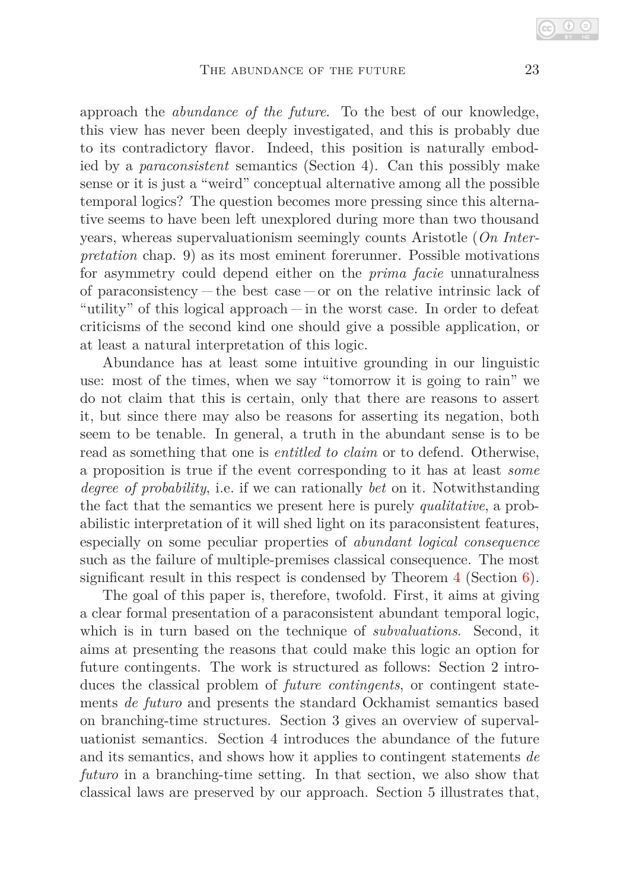approach the *abundance of the future*. To the best of our knowledge, this view has never been deeply investigated, and this is probably due to its contradictory flavor. Indeed, this position is naturally embodied by a *paraconsistent* semantics (Section 4). Can this possibly make sense or it is just a "weird" conceptual alternative among all the possible temporal logics? The question becomes more pressing since this alternative seems to have been left unexplored during more than two thousand years, whereas supervaluationism seemingly counts Aristotle (*On Interpretation* chap. 9) as its most eminent forerunner. Possible motivations for asymmetry could depend either on the *prima facie* unnaturalness of paraconsistency  $-\text{ the best case}-\text{ or on the relative intrinsic lack of}$ "utility" of this logical approach  $\frac{1}{n}$  in the worst case. In order to defeat criticisms of the second kind one should give a possible application, or at least a natural interpretation of this logic.

Abundance has at least some intuitive grounding in our linguistic use: most of the times, when we say "tomorrow it is going to rain" we do not claim that this is certain, only that there are reasons to assert it, but since there may also be reasons for asserting its negation, both seem to be tenable. In general, a truth in the abundant sense is to be read as something that one is *entitled to claim* or to defend. Otherwise, a proposition is true if the event corresponding to it has at least *some degree of probability*, i.e. if we can rationally *bet* on it. Notwithstanding the fact that the semantics we present here is purely *qualitative*, a probabilistic interpretation of it will shed light on its paraconsistent features, especially on some peculiar properties of *abundant logical consequence* such as the failure of multiple-premises classical consequence. The most significant result in this respect is condensed by Theorem [4](#page-13-0) (Section [6\)](#page-12-0).

The goal of this paper is, therefore, twofold. First, it aims at giving a clear formal presentation of a paraconsistent abundant temporal logic, which is in turn based on the technique of *subvaluations*. Second, it aims at presenting the reasons that could make this logic an option for future contingents. The work is structured as follows: Section 2 introduces the classical problem of *future contingents*, or contingent statements *de futuro* and presents the standard Ockhamist semantics based on branching-time structures. Section 3 gives an overview of supervaluationist semantics. Section 4 introduces the abundance of the future and its semantics, and shows how it applies to contingent statements *de futuro* in a branching-time setting. In that section, we also show that classical laws are preserved by our approach. Section 5 illustrates that,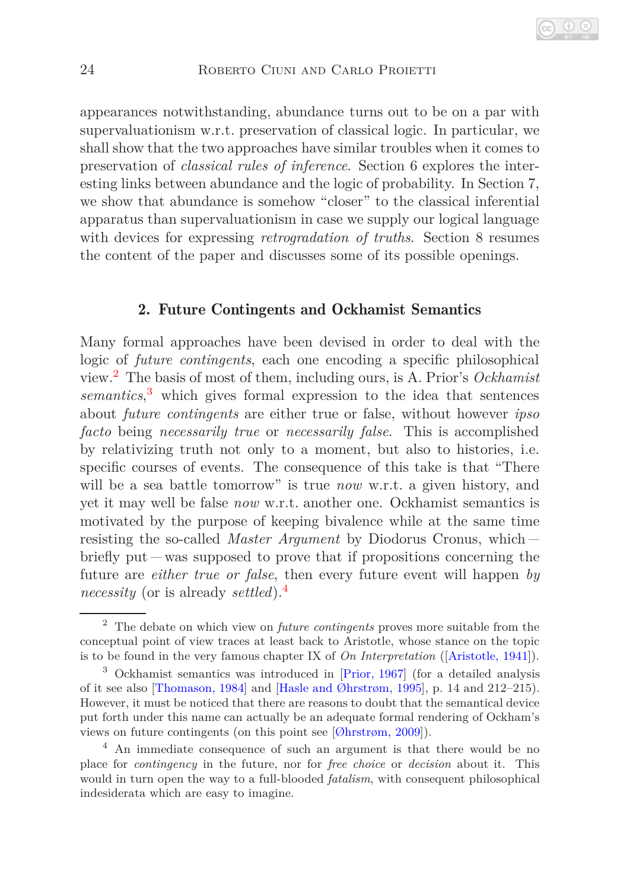appearances notwithstanding, abundance turns out to be on a par with supervaluationism w.r.t. preservation of classical logic. In particular, we shall show that the two approaches have similar troubles when it comes to preservation of *classical rules of inference*. Section 6 explores the interesting links between abundance and the logic of probability. In Section 7, we show that abundance is somehow "closer" to the classical inferential apparatus than supervaluationism in case we supply our logical language with devices for expressing *retrogradation of truths*. Section 8 resumes the content of the paper and discusses some of its possible openings.

#### 2. Future Contingents and Ockhamist Semantics

Many formal approaches have been devised in order to deal with the logic of *future contingents*, each one encoding a specific philosophical view.[2](#page-3-0) The basis of most of them, including ours, is A. Prior's *Ockhamist semantics*, [3](#page-3-1) which gives formal expression to the idea that sentences about *future contingents* are either true or false, without however *ipso facto* being *necessarily true* or *necessarily false*. This is accomplished by relativizing truth not only to a moment, but also to histories, i.e. specific courses of events. The consequence of this take is that "There will be a sea battle tomorrow" is true *now* w.r.t. a given history, and yet it may well be false *now* w.r.t. another one. Ockhamist semantics is motivated by the purpose of keeping bivalence while at the same time resisting the so-called *Master Argument* by Diodorus Cronus, which briefly put  $-was$  supposed to prove that if propositions concerning the future are *either true or false*, then every future event will happen *by necessity* (or is already *settled*).[4](#page-3-2)

<span id="page-3-0"></span><sup>2</sup> The debate on which view on *future contingents* proves more suitable from the conceptual point of view traces at least back to Aristotle, whose stance on the topic is to be found in the very famous chapter IX of *On Interpretation* ([\[Aristotle, 1941\]](#page-21-3)).

<span id="page-3-1"></span><sup>3</sup> Ockhamist semantics was introduced in [\[Prior, 1967\]](#page-22-6) (for a detailed analysis of it see also [\[Thomason, 1984\]](#page-22-7) and [\[Hasle and Øhrstrøm, 1995\]](#page-21-4), p. 14 and 212–215). However, it must be noticed that there are reasons to doubt that the semantical device put forth under this name can actually be an adequate formal rendering of Ockham's views on future contingents (on this point see [\[Øhrstrøm, 2009\]](#page-22-8)).

<span id="page-3-2"></span><sup>4</sup> An immediate consequence of such an argument is that there would be no place for *contingency* in the future, nor for *free choice* or *decision* about it. This would in turn open the way to a full-blooded *fatalism*, with consequent philosophical indesiderata which are easy to imagine.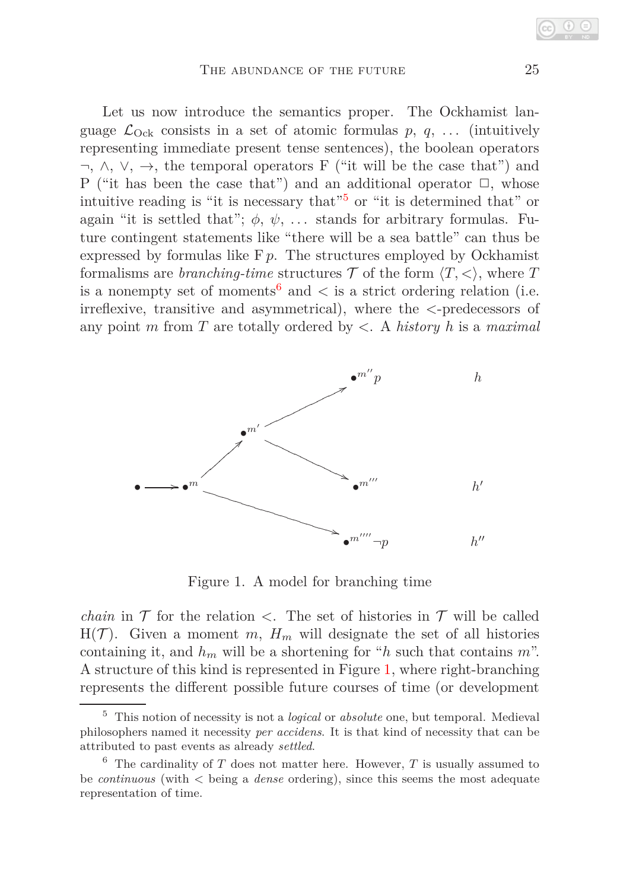Let us now introduce the semantics proper. The Ockhamist language  $\mathcal{L}_{\text{Ock}}$  consists in a set of atomic formulas p, q, ... (intuitively representing immediate present tense sentences), the boolean operators  $\neg$ ,  $\wedge$ ,  $\vee$ ,  $\rightarrow$ , the temporal operators F ("it will be the case that") and P ("it has been the case that") and an additional operator  $\Box$ , whose intuitive reading is "it is necessary that"<sup>[5](#page-4-0)</sup> or "it is determined that" or again "it is settled that";  $\phi$ ,  $\psi$ , ... stands for arbitrary formulas. Future contingent statements like "there will be a sea battle" can thus be expressed by formulas like  $F p$ . The structures employed by Ockhamist formalisms are *branching-time* structures  $\mathcal T$  of the form  $\langle T, \langle \rangle$ , where  $T$ is a nonempty set of moments<sup>[6](#page-4-1)</sup> and  $\lt$  is a strict ordering relation (i.e. irreflexive, transitive and asymmetrical), where the *<*-predecessors of any point *m* from *T* are totally ordered by *<*. A *history h* is a *maximal*



<span id="page-4-2"></span>Figure 1. A model for branching time

*chain* in  $\mathcal T$  for the relation  $\lt$ . The set of histories in  $\mathcal T$  will be called  $H(\mathcal{T})$ . Given a moment *m*,  $H_m$  will designate the set of all histories containing it, and  $h_m$  will be a shortening for "*h* such that contains  $m$ ". A structure of this kind is represented in Figure [1,](#page-4-2) where right-branching represents the different possible future courses of time (or development

<span id="page-4-0"></span><sup>5</sup> This notion of necessity is not a *logical* or *absolute* one, but temporal. Medieval philosophers named it necessity *per accidens*. It is that kind of necessity that can be attributed to past events as already *settled*.

<span id="page-4-1"></span> $6$  The cardinality of *T* does not matter here. However, *T* is usually assumed to be *continuous* (with *<* being a *dense* ordering), since this seems the most adequate representation of time.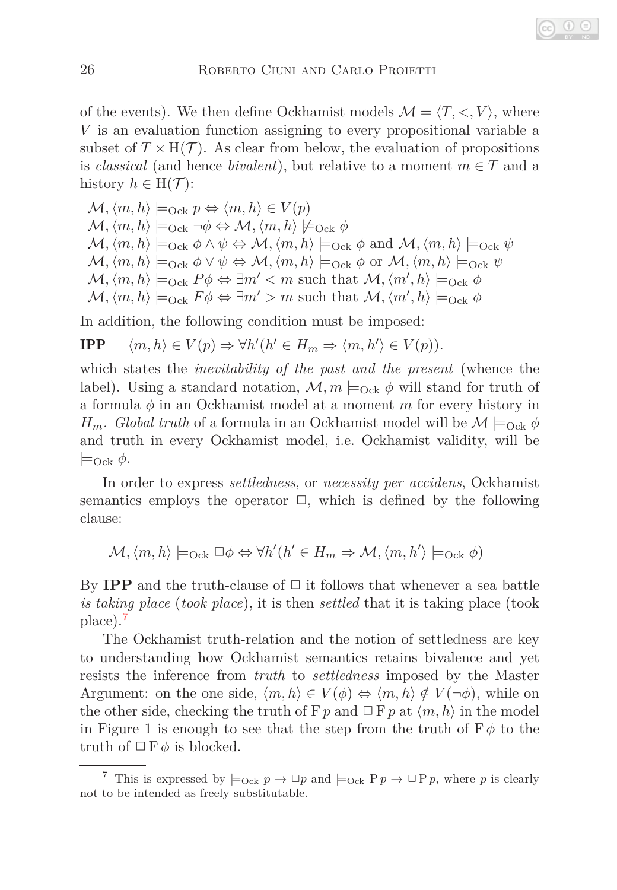of the events). We then define Ockhamist models  $\mathcal{M} = \langle T, \langle, V \rangle$ , where *V* is an evaluation function assigning to every propositional variable a subset of  $T \times H(\mathcal{T})$ . As clear from below, the evaluation of propositions is *classical* (and hence *bivalent*), but relative to a moment  $m \in T$  and a history  $h \in H(\mathcal{T})$ :

 $\mathcal{M}, \langle m, h \rangle \models_{\text{Ock}} p \Leftrightarrow \langle m, h \rangle \in V(p)$  $\mathcal{M}, \langle m, h \rangle \models_{\text{Ock}} \neg \phi \Leftrightarrow \mathcal{M}, \langle m, h \rangle \not\models_{\text{Ock}} \phi$  $\mathcal{M}, \langle m, h \rangle \models_{\text{Ock}} \phi \land \psi \Leftrightarrow \mathcal{M}, \langle m, h \rangle \models_{\text{Ock}} \phi \text{ and } \mathcal{M}, \langle m, h \rangle \models_{\text{Ock}} \psi$  $\mathcal{M}, \langle m, h \rangle \models_{\text{Ock}} \phi \lor \psi \Leftrightarrow \mathcal{M}, \langle m, h \rangle \models_{\text{Ock}} \phi \text{ or } \mathcal{M}, \langle m, h \rangle \models_{\text{Ock}} \psi$  $\mathcal{M}, \langle m, h \rangle \models_{\text{Ock}} P\phi \Leftrightarrow \exists m' < m \text{ such that } \mathcal{M}, \langle m', h \rangle \models_{\text{Ock}} \phi$  $\mathcal{M}, \langle m, h \rangle \models_{\text{Ock}} F \phi \Leftrightarrow \exists m' > m \text{ such that } \mathcal{M}, \langle m', h \rangle \models_{\text{Ock}} \phi$ 

In addition, the following condition must be imposed:

**IPP** 
$$
\langle m, h \rangle \in V(p) \Rightarrow \forall h'(h' \in H_m \Rightarrow \langle m, h' \rangle \in V(p)).
$$

which states the *inevitability of the past and the present* (whence the label). Using a standard notation,  $\mathcal{M}, m \models_{\text{Ock}} \phi$  will stand for truth of a formula *φ* in an Ockhamist model at a moment *m* for every history in *H<sub>m</sub>*. *Global truth* of a formula in an Ockhamist model will be  $\mathcal{M} \models_{\text{Ock}} \phi$ and truth in every Ockhamist model, i.e. Ockhamist validity, will be  $\models$ <sub>Ock</sub>  $\phi$ .

In order to express *settledness*, or *necessity per accidens*, Ockhamist semantics employs the operator  $\Box$ , which is defined by the following clause:

$$
\mathcal{M}, \langle m, h \rangle \models_{\text{Ock}} \Box \phi \Leftrightarrow \forall h'(h' \in H_m \Rightarrow \mathcal{M}, \langle m, h' \rangle \models_{\text{Ock}} \phi)
$$

By **IPP** and the truth-clause of  $\Box$  it follows that whenever a sea battle *is taking place* (*took place*), it is then *settled* that it is taking place (took place).[7](#page-5-0)

The Ockhamist truth-relation and the notion of settledness are key to understanding how Ockhamist semantics retains bivalence and yet resists the inference from *truth* to *settledness* imposed by the Master Argument: on the one side,  $\langle m, h \rangle \in V(\phi) \Leftrightarrow \langle m, h \rangle \notin V(\neg \phi)$ , while on the other side, checking the truth of  $Fp$  and  $\Box Fp$  at  $\langle m, h \rangle$  in the model in Figure 1 is enough to see that the step from the truth of  $F \phi$  to the truth of  $\Box$  F  $\phi$  is blocked.

<span id="page-5-0"></span><sup>&</sup>lt;sup>7</sup> This is expressed by  $\models_{\text{Ock}} p \rightarrow \Box p$  and  $\models_{\text{Ock}} P p \rightarrow \Box P p$ , where p is clearly not to be intended as freely substitutable.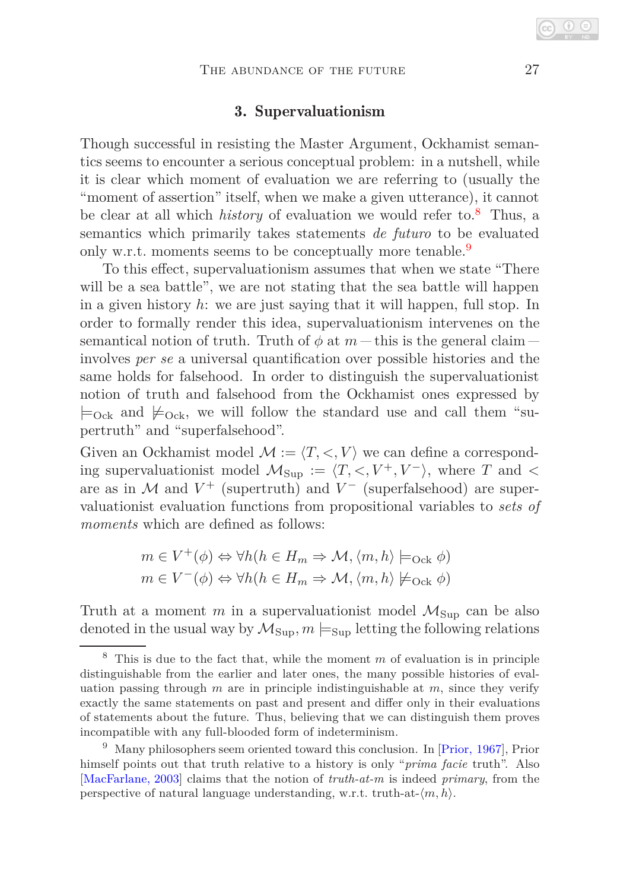## 3. Supervaluationism

Though successful in resisting the Master Argument, Ockhamist semantics seems to encounter a serious conceptual problem: in a nutshell, while it is clear which moment of evaluation we are referring to (usually the "moment of assertion" itself, when we make a given utterance), it cannot be clear at all which *history* of evaluation we would refer to.[8](#page-6-0) Thus, a semantics which primarily takes statements *de futuro* to be evaluated only w.r.t. moments seems to be conceptually more tenable.<sup>[9](#page-6-1)</sup>

To this effect, supervaluationism assumes that when we state "There will be a sea battle", we are not stating that the sea battle will happen in a given history *h*: we are just saying that it will happen, full stop. In order to formally render this idea, supervaluationism intervenes on the semantical notion of truth. Truth of  $\phi$  at  $m$  – this is the general claim – involves *per se* a universal quantification over possible histories and the same holds for falsehood. In order to distinguish the supervaluationist notion of truth and falsehood from the Ockhamist ones expressed by  $\models$ <sub>Ock</sub> and  $\not\models$ <sub>Ock</sub>, we will follow the standard use and call them "supertruth" and "superfalsehood".

Given an Ockhamist model  $\mathcal{M} := \langle T, \langle, V \rangle$  we can define a corresponding supervaluationist model  $M_{\text{Sun}} := \langle T, \langle V^+, V^-\rangle$ , where *T* and  $\langle$ are as in  $\mathcal M$  and  $V^+$  (supertruth) and  $V^-$  (superfalsehood) are supervaluationist evaluation functions from propositional variables to *sets of moments* which are defined as follows:

$$
m \in V^+(\phi) \Leftrightarrow \forall h(h \in H_m \Rightarrow \mathcal{M}, \langle m, h \rangle \models_{\text{Ock}} \phi)
$$

$$
m \in V^-(\phi) \Leftrightarrow \forall h(h \in H_m \Rightarrow \mathcal{M}, \langle m, h \rangle \not\models_{\text{Ock}} \phi)
$$

Truth at a moment  $m$  in a supervaluationist model  $\mathcal{M}_{\text{Sup}}$  can be also denoted in the usual way by  $\mathcal{M}_{\text{Sup}}$ ,  $m \models_{\text{Sup}}$  letting the following relations

<span id="page-6-0"></span><sup>8</sup> This is due to the fact that, while the moment *m* of evaluation is in principle distinguishable from the earlier and later ones, the many possible histories of evaluation passing through *m* are in principle indistinguishable at *m*, since they verify exactly the same statements on past and present and differ only in their evaluations of statements about the future. Thus, believing that we can distinguish them proves incompatible with any full-blooded form of indeterminism.

<span id="page-6-1"></span> $9$  Many philosophers seem oriented toward this conclusion. In [\[Prior, 1967\]](#page-22-6), Prior himself points out that truth relative to a history is only "*prima facie* truth". Also [\[MacFarlane, 2003\]](#page-22-9) claims that the notion of *truth-at-m* is indeed *primary*, from the perspective of natural language understanding, w.r.t. truth-at- $\langle m, h \rangle$ .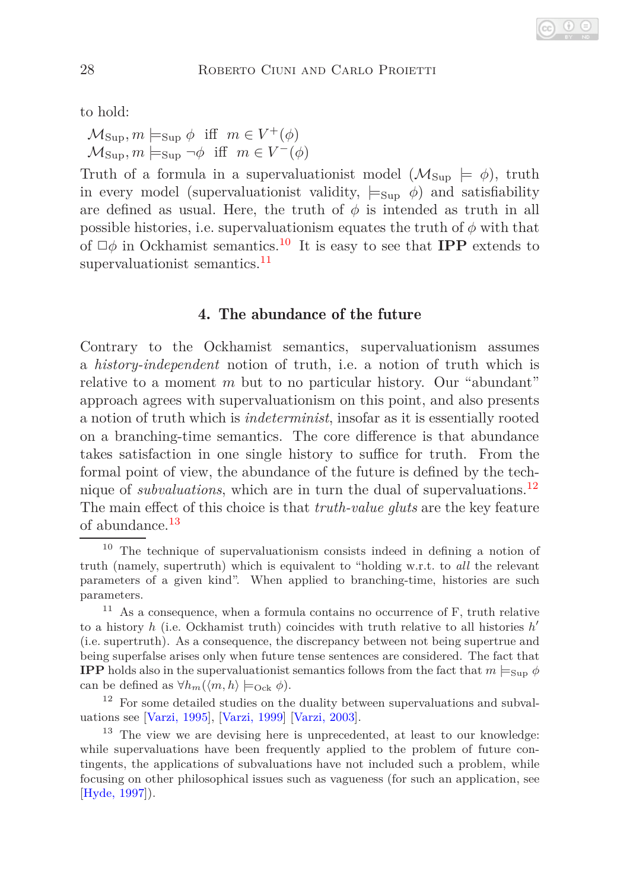to hold:

 $\mathcal{M}_{\text{Sup}}, m \models_{\text{Sup}} \phi \text{ iff } m \in V^+(\phi)$  $\mathcal{M}_{\text{Sup}}, m \models_{\text{Sup}} \neg \phi \text{ iff } m \in V^-(\phi)$ 

Truth of a formula in a supervaluationist model  $(\mathcal{M}_{\text{Sun}} \models \phi)$ , truth in every model (supervaluationist validity,  $\models_{\text{Sup}} \phi$ ) and satisfiability are defined as usual. Here, the truth of  $\phi$  is intended as truth in all possible histories, i.e. supervaluationism equates the truth of  $\phi$  with that of  $\Box \phi$  in Ockhamist semantics.<sup>[10](#page-7-0)</sup> It is easy to see that **IPP** extends to supervaluationist semantics.<sup>[11](#page-7-1)</sup>

## 4. The abundance of the future

Contrary to the Ockhamist semantics, supervaluationism assumes a *history-independent* notion of truth, i.e. a notion of truth which is relative to a moment *m* but to no particular history. Our "abundant" approach agrees with supervaluationism on this point, and also presents a notion of truth which is *indeterminist*, insofar as it is essentially rooted on a branching-time semantics. The core difference is that abundance takes satisfaction in one single history to suffice for truth. From the formal point of view, the abundance of the future is defined by the technique of *subvaluations*, which are in turn the dual of supervaluations.[12](#page-7-2) The main effect of this choice is that *truth-value gluts* are the key feature of abundance.<sup>[13](#page-7-3)</sup>

<span id="page-7-0"></span><sup>10</sup> The technique of supervaluationism consists indeed in defining a notion of truth (namely, supertruth) which is equivalent to "holding w.r.t. to *all* the relevant parameters of a given kind". When applied to branching-time, histories are such parameters.

<span id="page-7-1"></span> $11$  As a consequence, when a formula contains no occurrence of F, truth relative to a history *h* (i.e. Ockhamist truth) coincides with truth relative to all histories *h* ′ (i.e. supertruth). As a consequence, the discrepancy between not being supertrue and being superfalse arises only when future tense sentences are considered. The fact that **IPP** holds also in the supervaluationist semantics follows from the fact that  $m \models_{\text{Supp}} \phi$ can be defined as  $\forall h_m(\langle m, h \rangle) \models_{\text{Ock}} \phi$ .

<span id="page-7-2"></span> $12$  For some detailed studies on the duality between supervaluations and subvaluations see [\[Varzi, 1995\]](#page-22-10), [\[Varzi, 1999\]](#page-22-11) [\[Varzi, 2003\]](#page-22-12).

<span id="page-7-3"></span><sup>&</sup>lt;sup>13</sup> The view we are devising here is unprecedented, at least to our knowledge: while supervaluations have been frequently applied to the problem of future contingents, the applications of subvaluations have not included such a problem, while focusing on other philosophical issues such as vagueness (for such an application, see [\[Hyde, 1997\]](#page-21-5)).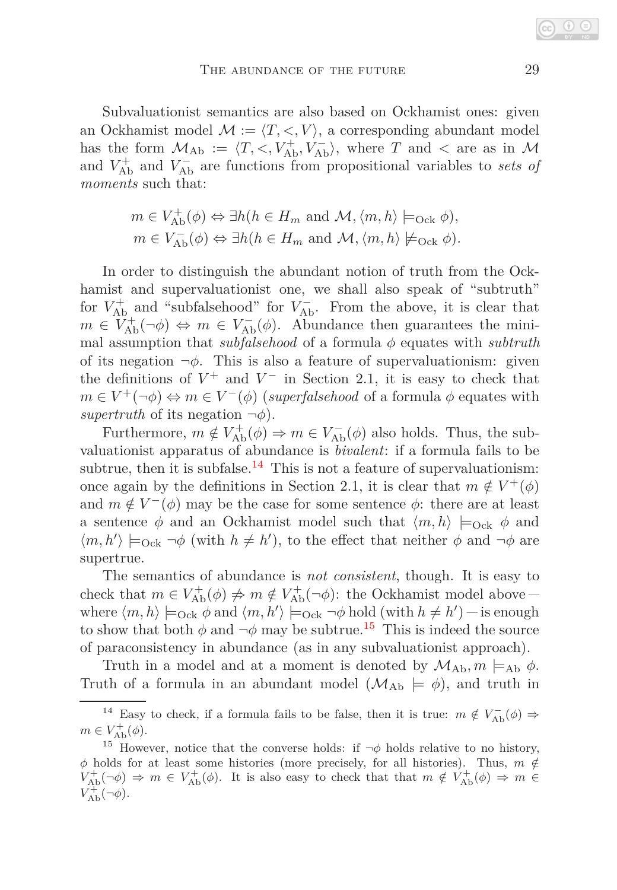Subvaluationist semantics are also based on Ockhamist ones: given an Ockhamist model  $\mathcal{M} := \langle T, \langle, V \rangle$ , a corresponding abundant model has the form  $M_{Ab} := \langle T, \langle, V_{Ab}^+, V_{Ab}^- \rangle$ , where *T* and  $\langle$  are as in M and  $V_{\text{Ab}}^{+}$  and  $V_{\text{Ab}}^{-}$  are functions from propositional variables to *sets of moments* such that:

$$
m \in V_{\text{Ab}}^{+}(\phi) \Leftrightarrow \exists h (h \in H_m \text{ and } \mathcal{M}, \langle m, h \rangle \models_{\text{Ock}} \phi),
$$
  

$$
m \in V_{\text{Ab}}^{-}(\phi) \Leftrightarrow \exists h (h \in H_m \text{ and } \mathcal{M}, \langle m, h \rangle \not\models_{\text{Ock}} \phi).
$$

In order to distinguish the abundant notion of truth from the Ockhamist and supervaluationist one, we shall also speak of "subtruth" for  $V_{\text{Ab}}^+$  and "subfalsehood" for  $V_{\text{Ab}}^-$ . From the above, it is clear that  $m \in V_{\text{Ab}}^{+}(\neg \phi) \Leftrightarrow m \in V_{\text{Ab}}^{-}(\phi)$ . Abundance then guarantees the minimal assumption that *subfalsehood* of a formula *φ* equates with *subtruth* of its negation  $\neg \phi$ . This is also a feature of supervaluationism: given the definitions of  $V^+$  and  $V^-$  in Section 2.1, it is easy to check that  $m \in V^+(\neg \phi) \Leftrightarrow m \in V^-(\phi)$  (*superfalsehood* of a formula  $\phi$  equates with *supertruth* of its negation  $\neg \phi$ ).

Furthermore,  $m \notin V_{\text{Ab}}^{+}(\phi) \Rightarrow m \in V_{\text{Ab}}^{-}(\phi)$  also holds. Thus, the subvaluationist apparatus of abundance is *bivalent*: if a formula fails to be subtrue, then it is subfalse.<sup>[14](#page-8-0)</sup> This is not a feature of supervaluationism: once again by the definitions in Section 2.1, it is clear that  $m \notin V^+(\phi)$ and  $m \notin V^-(\phi)$  may be the case for some sentence  $\phi$ : there are at least a sentence  $\phi$  and an Ockhamist model such that  $\langle m, h \rangle \models_{\text{Ock}} \phi$  and  $\langle m, h' \rangle \models_{\text{Ock}} \neg \phi$  (with  $h \neq h'$ ), to the effect that neither  $\phi$  and  $\neg \phi$  are supertrue.

The semantics of abundance is *not consistent*, though. It is easy to check that  $m \in V_{\text{Ab}}^{+}(\phi) \neq m \notin V_{\text{Ab}}^{+}(\neg \phi)$ : the Ockhamist model above – where  $\langle m, h \rangle \models_{\text{Ock}} \phi$  and  $\langle m, h' \rangle \models_{\text{Ock}} \neg \phi$  hold (with  $h \neq h'$ ) – is enough to show that both  $\phi$  and  $\neg \phi$  may be subtrue.<sup>[15](#page-8-1)</sup> This is indeed the source of paraconsistency in abundance (as in any subvaluationist approach).

Truth in a model and at a moment is denoted by  $\mathcal{M}_{Ab}, m \models_{Ab} \phi$ . Truth of a formula in an abundant model  $(\mathcal{M}_{Ab} \models \phi)$ , and truth in

<span id="page-8-0"></span><sup>&</sup>lt;sup>14</sup> Easy to check, if a formula fails to be false, then it is true:  $m \notin V_{\rm Ab}^-(\phi) \Rightarrow$  $m \in V_{\text{Ab}}^{+}(\phi).$ 

<span id="page-8-1"></span><sup>&</sup>lt;sup>15</sup> However, notice that the converse holds: if  $\neg \phi$  holds relative to no history,  $\phi$  holds for at least some histories (more precisely, for all histories). Thus,  $m \notin$  $V_{\text{Ab}}^{+}(\neg \phi) \Rightarrow m \in V_{\text{Ab}}^{+}(\phi)$ . It is also easy to check that that  $m \notin V_{\text{Ab}}^{+}(\phi) \Rightarrow m \in V_{\text{Ab}}^{+}(\phi)$  $V_{\text{Ab}}^{+}(\neg \phi)$ .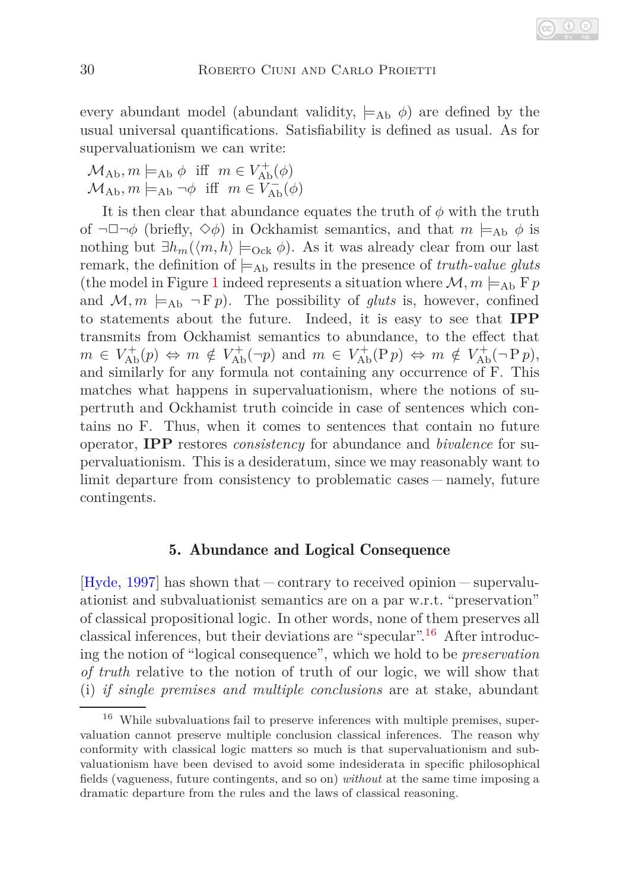every abundant model (abundant validity,  $\models_{Ab} \phi$ ) are defined by the usual universal quantifications. Satisfiability is defined as usual. As for supervaluationism we can write:

 $\mathcal{M}_{\text{Ab}}$ ,  $m \models_{\text{Ab}} \phi$  iff  $m \in V_{\text{Ab}}^{+}(\phi)$  $\mathcal{M}_{\text{Ab}}$ ,  $m \models_{\text{Ab}} \neg \phi$  iff  $m \in V_{\text{Ab}}^-(\phi)$ 

It is then clear that abundance equates the truth of  $\phi$  with the truth of  $\neg \Box \neg \phi$  (briefly,  $\diamond \phi$ ) in Ockhamist semantics, and that  $m \models_{\text{Ab}} \phi$  is nothing but  $\exists h_m(\langle m, h \rangle \models_{\text{Ock}} \phi)$ . As it was already clear from our last remark, the definition of  $\models_{\text{Ab}}$  results in the presence of *truth-value gluts* (the model in Figure [1](#page-4-2) indeed represents a situation where  $\mathcal{M}, m \models_{\text{Ab}} F p$ and  $M, m \models_{\text{Ab}} \neg \text{F} p$ . The possibility of *gluts* is, however, confined to statements about the future. Indeed, it is easy to see that **IPP** transmits from Ockhamist semantics to abundance, to the effect that  $m \in V_{\text{Ab}}^{+}(p) \Leftrightarrow m \notin V_{\text{Ab}}^{+}(\neg p) \text{ and } m \in V_{\text{Ab}}^{+}(Pp) \Leftrightarrow m \notin V_{\text{Ab}}^{+}(\neg Pp),$ and similarly for any formula not containing any occurrence of F. This matches what happens in supervaluationism, where the notions of supertruth and Ockhamist truth coincide in case of sentences which contains no F. Thus, when it comes to sentences that contain no future operator, **IPP** restores *consistency* for abundance and *bivalence* for supervaluationism. This is a desideratum, since we may reasonably want to limit departure from consistency to problematic cases – namely, future contingents.

#### 5. Abundance and Logical Consequence

[\[Hyde, 1997\]](#page-21-5) has shown that  $-\text{contrary to received opinion} - \text{supervalu-}$ ationist and subvaluationist semantics are on a par w.r.t. "preservation" of classical propositional logic. In other words, none of them preserves all classical inferences, but their deviations are "specular".<sup>[16](#page-9-0)</sup> After introducing the notion of "logical consequence", which we hold to be *preservation of truth* relative to the notion of truth of our logic, we will show that (i) *if single premises and multiple conclusions* are at stake, abundant

<span id="page-9-0"></span> $^{16}\,$  While subvaluations fail to preserve inferences with multiple premises, supervaluation cannot preserve multiple conclusion classical inferences. The reason why conformity with classical logic matters so much is that supervaluationism and subvaluationism have been devised to avoid some indesiderata in specific philosophical fields (vagueness, future contingents, and so on) *without* at the same time imposing a dramatic departure from the rules and the laws of classical reasoning.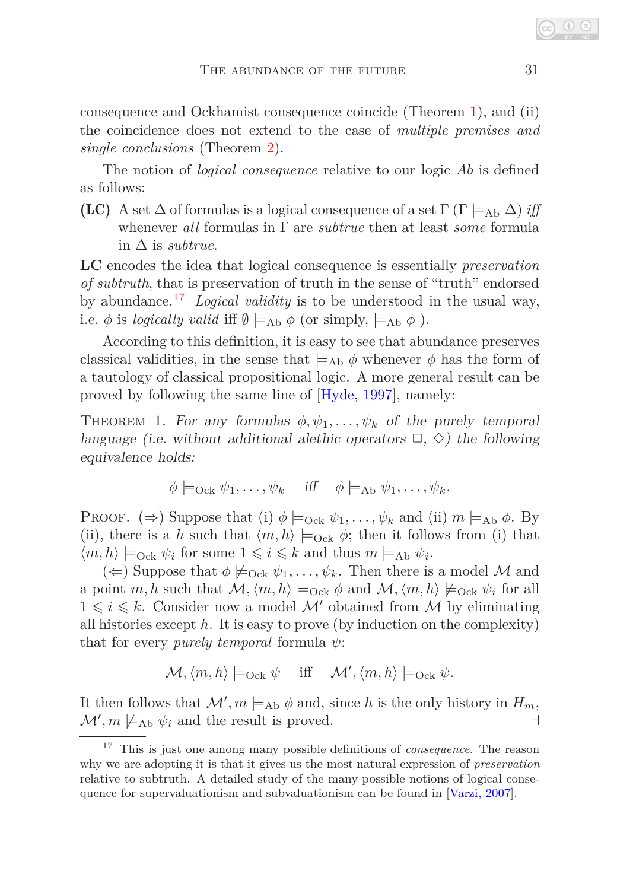consequence and Ockhamist consequence coincide (Theorem [1\)](#page-10-0), and (ii) the coincidence does not extend to the case of *multiple premises and single conclusions* (Theorem [2\)](#page-11-0).

The notion of *logical consequence* relative to our logic *Ab* is defined as follows:

**(LC)** A set  $\Delta$  of formulas is a logical consequence of a set  $\Gamma$  ( $\Gamma \models_{\text{Ab}} \Delta$ ) *iff* whenever *all* formulas in Γ are *subtrue* then at least *some* formula in ∆ is *subtrue*.

**LC** encodes the idea that logical consequence is essentially *preservation of subtruth*, that is preservation of truth in the sense of "truth" endorsed by abundance.[17](#page-10-1) *Logical validity* is to be understood in the usual way, i.e.  $\phi$  is *logically valid* iff  $\emptyset \models_{\text{Ab}} \phi$  (or simply,  $\models_{\text{Ab}} \phi$ ).

According to this definition, it is easy to see that abundance preserves classical validities, in the sense that  $\models_{\text{Ab}} \phi$  whenever  $\phi$  has the form of a tautology of classical propositional logic. A more general result can be proved by following the same line of [\[Hyde, 1997\]](#page-21-5), namely:

<span id="page-10-0"></span>THEOREM 1. For any formulas  $\phi, \psi_1, \ldots, \psi_k$  of the purely temporal language (i.e. without additional alethic operators  $\Box$ ,  $\diamond$ ) the following equivalence holds:

$$
\phi \models_{\text{Ock}} \psi_1, \ldots, \psi_k \quad \text{iff} \quad \phi \models_{\text{Ab}} \psi_1, \ldots, \psi_k.
$$

PROOF.  $(\Rightarrow)$  Suppose that (i)  $\phi \models_{\text{Ock}} \psi_1, \dots, \psi_k$  and (ii)  $m \models_{\text{Ab}} \phi$ . By (ii), there is a *h* such that  $\langle m, h \rangle \models_{\text{Ock}} \phi$ ; then it follows from (i) that  $\langle m, h \rangle \models_{\text{Ock}} \psi_i$  for some  $1 \leq i \leq k$  and thus  $m \models_{\text{Ab}} \psi_i$ .

 $(\Leftarrow)$  Suppose that  $\phi \not\models_{\text{Ock}} \psi_1, \ldots, \psi_k$ . Then there is a model M and a point *m*, *h* such that  $\mathcal{M}, \langle m, h \rangle \models_{\text{Ock}} \phi$  and  $\mathcal{M}, \langle m, h \rangle \not\models_{\text{Ock}} \psi_i$  for all  $1 \leq i \leq k$ . Consider now a model  $\mathcal{M}'$  obtained from  $\mathcal M$  by eliminating all histories except *h*. It is easy to prove (by induction on the complexity) that for every *purely temporal* formula *ψ*:

$$
\mathcal{M}, \langle m, h \rangle \models_{\text{Ock}} \psi \quad \text{iff} \quad \mathcal{M}', \langle m, h \rangle \models_{\text{Ock}} \psi.
$$

It then follows that  $\mathcal{M}'$ ,  $m \models_{\text{Ab}} \phi$  and, since *h* is the only history in  $H_m$ ,  $\mathcal{M}'$ ,  $m \not\models_{\text{Ab}} \psi_i$  and the result is proved. ⊣

<span id="page-10-1"></span><sup>17</sup> This is just one among many possible definitions of *consequence*. The reason why we are adopting it is that it gives us the most natural expression of *preservation* relative to subtruth. A detailed study of the many possible notions of logical consequence for supervaluationism and subvaluationism can be found in [\[Varzi, 2007\]](#page-22-13).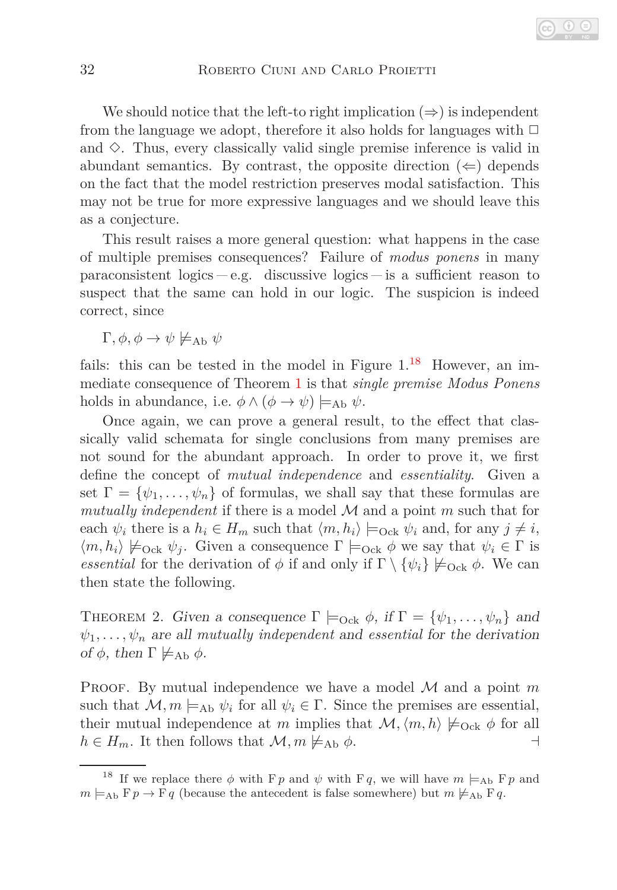We should notice that the left-to right implication  $(\Rightarrow)$  is independent from the language we adopt, therefore it also holds for languages with  $\Box$ and  $\diamond$ . Thus, every classically valid single premise inference is valid in abundant semantics. By contrast, the opposite direction  $(\Leftarrow)$  depends on the fact that the model restriction preserves modal satisfaction. This may not be true for more expressive languages and we should leave this as a conjecture.

This result raises a more general question: what happens in the case of multiple premises consequences? Failure of *modus ponens* in many paraconsistent logics  $-e.g.$  discussive logics  $-$  is a sufficient reason to suspect that the same can hold in our logic. The suspicion is indeed correct, since

 $Γ, φ, φ → ψ \not\models_{\text{Ab}} ψ$ 

fails: this can be tested in the model in Figure  $1^{18}$  $1^{18}$  $1^{18}$  However, an immediate consequence of Theorem [1](#page-10-0) is that *single premise Modus Ponens* holds in abundance, i.e.  $\phi \land (\phi \rightarrow \psi) \models_{\text{Ab}} \psi$ .

Once again, we can prove a general result, to the effect that classically valid schemata for single conclusions from many premises are not sound for the abundant approach. In order to prove it, we first define the concept of *mutual independence* and *essentiality*. Given a set  $\Gamma = {\psi_1, \ldots, \psi_n}$  of formulas, we shall say that these formulas are *mutually independent* if there is a model M and a point *m* such that for each  $\psi_i$  there is a  $h_i \in H_m$  such that  $\langle m, h_i \rangle \models_{\text{Ock}} \psi_i$  and, for any  $j \neq i$ ,  $\langle m, h_i \rangle \not\models_{\text{Ock}} \psi_j$ . Given a consequence  $\Gamma \models_{\text{Ock}} \phi$  we say that  $\psi_i \in \Gamma$  is *essential* for the derivation of  $\phi$  if and only if  $\Gamma \setminus {\psi_i} \not\models_{\text{Ock}} \phi$ . We can then state the following.

<span id="page-11-0"></span>THEOREM 2. Given a consequence  $\Gamma \models_{\text{Ock}} \phi$ , if  $\Gamma = {\psi_1, \dots, \psi_n}$  and  $\psi_1, \ldots, \psi_n$  are all *mutually independent* and *essential* for the derivation of  $\phi$ , then  $\Gamma \not\models_{\mathrm{Ab}} \phi$ .

PROOF. By mutual independence we have a model  $M$  and a point  $m$ such that  $\mathcal{M}, m \models_{\text{Ab}} \psi_i$  for all  $\psi_i \in \Gamma$ . Since the premises are essential, their mutual independence at *m* implies that  $\mathcal{M}, \langle m, h \rangle \not\models_{\text{Ock}} \phi$  for all  $h \in H_m$ . It then follows that  $\mathcal{M}, m \not\models_{\text{Ab}} \phi$ .

<span id="page-11-1"></span><sup>&</sup>lt;sup>18</sup> If we replace there  $\phi$  with F  $p$  and  $\psi$  with F  $q$ , we will have  $m \models_{\text{Ab}} \text{F} p$  and  $m \models_{\text{Ab}} \mathbb{F}p \to \mathbb{F}q$  (because the antecedent is false somewhere) but  $m \not\models_{\text{Ab}} \mathbb{F}q$ .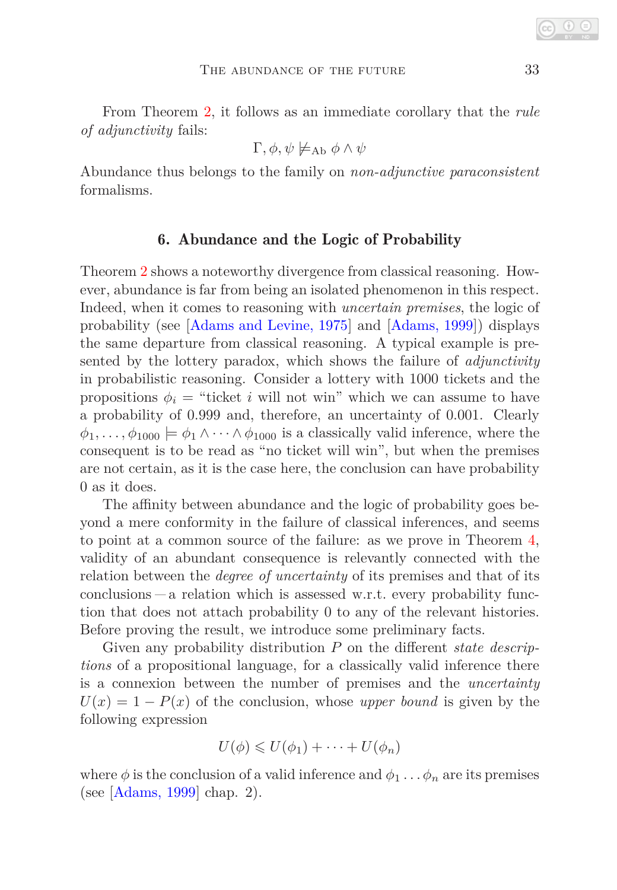From Theorem [2,](#page-11-0) it follows as an immediate corollary that the *rule of adjunctivity* fails:

$$
\Gamma, \phi, \psi \not\models_{\mathrm{Ab}} \phi \land \psi
$$

<span id="page-12-0"></span>Abundance thus belongs to the family on *non-adjunctive paraconsistent* formalisms.

#### 6. Abundance and the Logic of Probability

Theorem [2](#page-11-0) shows a noteworthy divergence from classical reasoning. However, abundance is far from being an isolated phenomenon in this respect. Indeed, when it comes to reasoning with *uncertain premises*, the logic of probability (see [\[Adams and Levine, 1975\]](#page-21-6) and [\[Adams, 1999\]](#page-21-7)) displays the same departure from classical reasoning. A typical example is presented by the lottery paradox, which shows the failure of *adjunctivity* in probabilistic reasoning. Consider a lottery with 1000 tickets and the propositions  $\phi_i$  = "ticket *i* will not win" which we can assume to have a probability of 0*.*999 and, therefore, an uncertainty of 0*.*001. Clearly  $\phi_1, \ldots, \phi_{1000} \models \phi_1 \wedge \cdots \wedge \phi_{1000}$  is a classically valid inference, where the consequent is to be read as "no ticket will win", but when the premises are not certain, as it is the case here, the conclusion can have probability 0 as it does.

The affinity between abundance and the logic of probability goes beyond a mere conformity in the failure of classical inferences, and seems to point at a common source of the failure: as we prove in Theorem [4,](#page-13-0) validity of an abundant consequence is relevantly connected with the relation between the *degree of uncertainty* of its premises and that of its  $\alpha$  conclusions  $\alpha$  relation which is assessed w.r.t. every probability function that does not attach probability 0 to any of the relevant histories. Before proving the result, we introduce some preliminary facts.

Given any probability distribution *P* on the different *state descriptions* of a propositional language, for a classically valid inference there is a connexion between the number of premises and the *uncertainty*  $U(x) = 1 - P(x)$  of the conclusion, whose *upper bound* is given by the following expression

$$
U(\phi) \leqslant U(\phi_1) + \cdots + U(\phi_n)
$$

where  $\phi$  is the conclusion of a valid inference and  $\phi_1 \dots \phi_n$  are its premises (see [\[Adams, 1999\]](#page-21-7) chap. 2).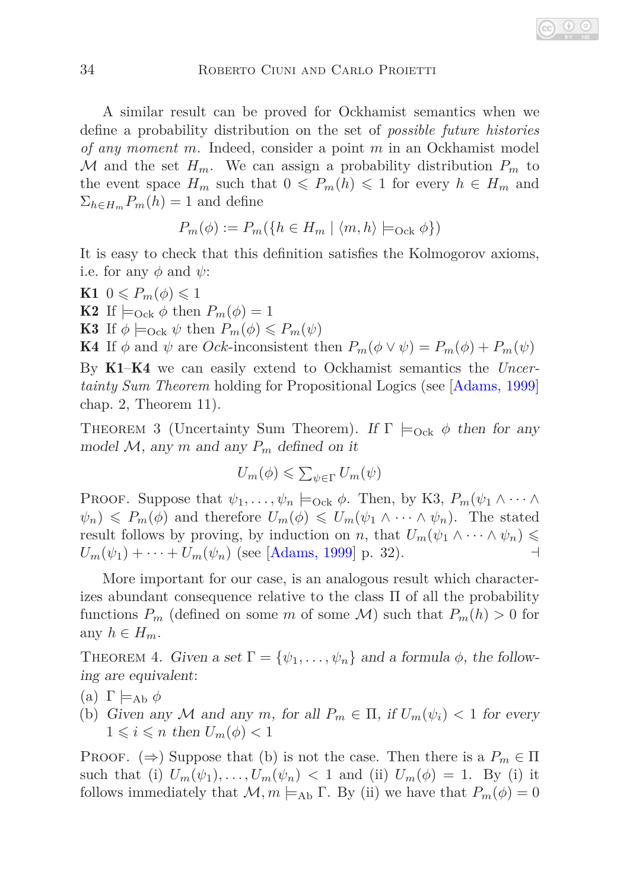A similar result can be proved for Ockhamist semantics when we define a probability distribution on the set of *possible future histories of any moment m*. Indeed, consider a point *m* in an Ockhamist model M and the set  $H_m$ . We can assign a probability distribution  $P_m$  to the event space  $H_m$  such that  $0 \leq P_m(h) \leq 1$  for every  $h \in H_m$  and  $\Sigma_{h \in H_m} P_m(h) = 1$  and define

$$
P_m(\phi) := P_m(\{h \in H_m \mid \langle m, h \rangle \models_{\text{Ock}} \phi\})
$$

It is easy to check that this definition satisfies the Kolmogorov axioms, i.e. for any  $\phi$  and  $\psi$ :

- **K1**  $0 \leq P_m(\phi) \leq 1$
- **K2** If  $\models$ <sub>Ock</sub>  $\phi$  then  $P_m(\phi) = 1$
- **K3** If  $\phi \models_{\text{Ock}} \psi$  then  $P_m(\phi) \leq P_m(\psi)$

**K4** If  $\phi$  and  $\psi$  are *Ock*-inconsistent then  $P_m(\phi \lor \psi) = P_m(\phi) + P_m(\psi)$ 

By K1–K4 we can easily extend to Ockhamist semantics the *Uncertainty Sum Theorem* holding for Propositional Logics (see [\[Adams, 1999\]](#page-21-7) chap. 2, Theorem 11).

THEOREM 3 (Uncertainty Sum Theorem). If  $\Gamma \models_{\text{Ock}} \phi$  then for any model  $M$ , any  $m$  and any  $P_m$  defined on it

$$
U_m(\phi) \leq \sum_{\psi \in \Gamma} U_m(\psi)
$$

PROOF. Suppose that  $\psi_1, \ldots, \psi_n \models_{\text{Ock}} \phi$ . Then, by K3,  $P_m(\psi_1 \wedge \cdots \wedge$  $\psi_n$ )  $\leq P_m(\phi)$  and therefore  $U_m(\phi) \leq U_m(\psi_1 \wedge \cdots \wedge \psi_n)$ . The stated result follows by proving, by induction on *n*, that  $U_m(\psi_1 \wedge \cdots \wedge \psi_n) \leq$  $U_m(\psi_1) + \cdots + U_m(\psi_n)$  (see [\[Adams, 1999\]](#page-21-7) p. 32).

More important for our case, is an analogous result which characterizes abundant consequence relative to the class Π of all the probability functions  $P_m$  (defined on some *m* of some *M*) such that  $P_m(h) > 0$  for any  $h \in H_m$ .

<span id="page-13-0"></span>THEOREM 4. Given a set  $\Gamma = {\psi_1, \ldots, \psi_n}$  and a formula  $\phi$ , the following are equivalent:

- (a)  $\Gamma \models_{\text{Ab}} \phi$
- (b) Given any M and any m, for all  $P_m \in \Pi$ , if  $U_m(\psi_i) < 1$  for every  $1 \leq i \leq n$  then  $U_m(\phi) < 1$

PROOF. ( $\Rightarrow$ ) Suppose that (b) is not the case. Then there is a  $P_m \in \Pi$ such that (i)  $U_m(\psi_1), \ldots, U_m(\psi_n) < 1$  and (ii)  $U_m(\phi) = 1$ . By (i) it follows immediately that  $\mathcal{M}, m \models_{\text{Ab}} \Gamma$ . By (ii) we have that  $P_m(\phi) = 0$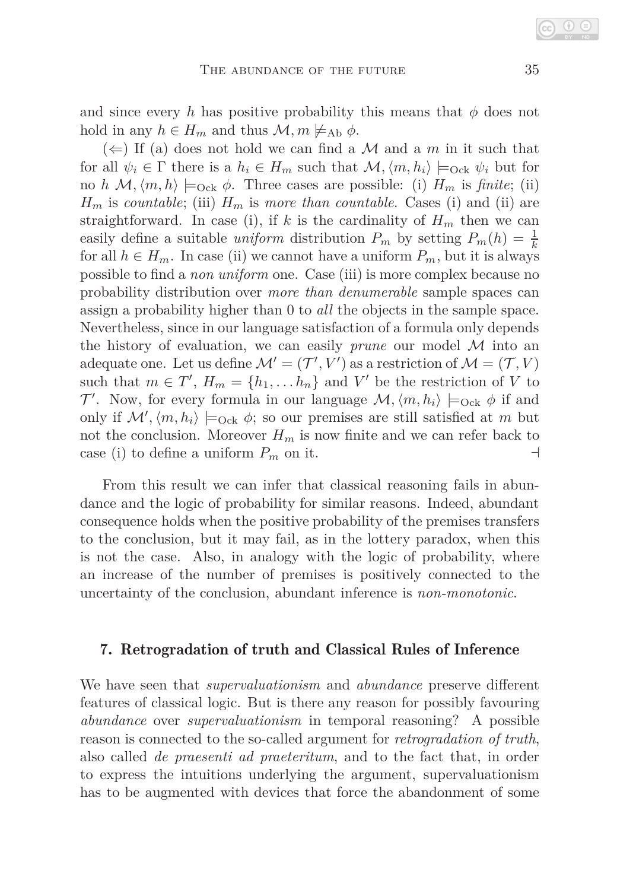and since every h has positive probability this means that  $\phi$  does not hold in any  $h \in H_m$  and thus  $\mathcal{M}, m \not\models_{\text{Ab}} \phi$ .

 $(\Leftarrow)$  If (a) does not hold we can find a M and a m in it such that for all  $\psi_i \in \Gamma$  there is a  $h_i \in H_m$  such that  $\mathcal{M}, \langle m, h_i \rangle \models_{\text{Ock}} \psi_i$  but for no *h*  $\mathcal{M}, \langle m, h \rangle \models_{\text{Ock}} \phi$ . Three cases are possible: (i)  $H_m$  is *finite*; (ii)  $H_m$  is *countable*; (iii)  $H_m$  is *more than countable*. Cases (i) and (ii) are straightforward. In case (i), if k is the cardinality of  $H_m$  then we can easily define a suitable *uniform* distribution  $P_m$  by setting  $P_m(h) = \frac{1}{k}$ for all  $h \in H_m$ . In case (ii) we cannot have a uniform  $P_m$ , but it is always possible to find a *non uniform* one. Case (iii) is more complex because no probability distribution over *more than denumerable* sample spaces can assign a probability higher than 0 to *all* the objects in the sample space. Nevertheless, since in our language satisfaction of a formula only depends the history of evaluation, we can easily *prune* our model M into an adequate one. Let us define  $\mathcal{M}' = (\mathcal{T}', V')$  as a restriction of  $\mathcal{M} = (\mathcal{T}, V)$ such that  $m \in T'$ ,  $H_m = \{h_1, \ldots, h_n\}$  and  $V'$  be the restriction of *V* to T'. Now, for every formula in our language  $\mathcal{M}, \langle m, h_i \rangle \models_{\text{Ock}} \phi$  if and only if  $\mathcal{M}'$ ,  $\langle m, h_i \rangle \models_{\text{Ock}} \phi$ ; so our premises are still satisfied at *m* but not the conclusion. Moreover  $H_m$  is now finite and we can refer back to case (i) to define a uniform  $P_m$  on it.  $\Box$ 

From this result we can infer that classical reasoning fails in abundance and the logic of probability for similar reasons. Indeed, abundant consequence holds when the positive probability of the premises transfers to the conclusion, but it may fail, as in the lottery paradox, when this is not the case. Also, in analogy with the logic of probability, where an increase of the number of premises is positively connected to the uncertainty of the conclusion, abundant inference is *non-monotonic*.

#### 7. Retrogradation of truth and Classical Rules of Inference

We have seen that *supervaluationism* and *abundance* preserve different features of classical logic. But is there any reason for possibly favouring *abundance* over *supervaluationism* in temporal reasoning? A possible reason is connected to the so-called argument for *retrogradation of truth*, also called *de praesenti ad praeteritum*, and to the fact that, in order to express the intuitions underlying the argument, supervaluationism has to be augmented with devices that force the abandonment of some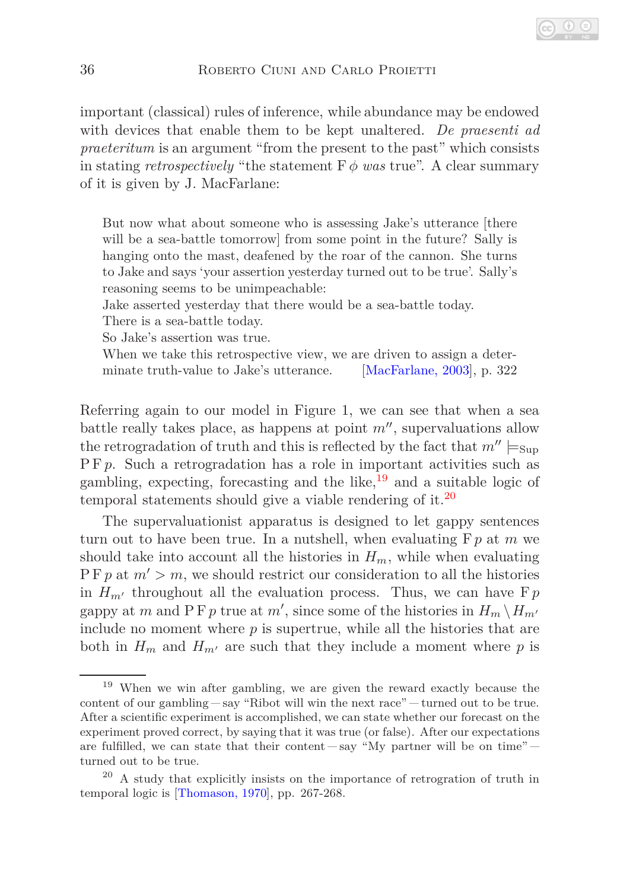important (classical) rules of inference, while abundance may be endowed with devices that enable them to be kept unaltered. *De praesenti ad praeteritum* is an argument "from the present to the past" which consists in stating *retrospectively* "the statement  $\mathbf{F}\phi$  *was* true". A clear summary of it is given by J. MacFarlane:

But now what about someone who is assessing Jake's utterance [there will be a sea-battle tomorrow] from some point in the future? Sally is hanging onto the mast, deafened by the roar of the cannon. She turns to Jake and says 'your assertion yesterday turned out to be true'. Sally's reasoning seems to be unimpeachable:

Jake asserted yesterday that there would be a sea-battle today.

There is a sea-battle today.

So Jake's assertion was true.

When we take this retrospective view, we are driven to assign a determinate truth-value to Jake's utterance. [\[MacFarlane, 2003\]](#page-22-9), p. 322

Referring again to our model in Figure 1, we can see that when a sea battle really takes place, as happens at point *m*′′, supervaluations allow the retrogradation of truth and this is reflected by the fact that  $m'' \models_{\text{Sun}}$ P F *p*. Such a retrogradation has a role in important activities such as gambling, expecting, forecasting and the like, $^{19}$  $^{19}$  $^{19}$  and a suitable logic of temporal statements should give a viable rendering of it.<sup>[20](#page-15-1)</sup>

The supervaluationist apparatus is designed to let gappy sentences turn out to have been true. In a nutshell, when evaluating F*p* at *m* we should take into account all the histories in  $H_m$ , while when evaluating  $P F p$  at  $m' > m$ , we should restrict our consideration to all the histories in  $H_{m'}$  throughout all the evaluation process. Thus, we can have  $Fp$ gappy at *m* and P F *p* true at *m'*, since some of the histories in  $H_m \setminus H_{m'}$ include no moment where  $p$  is supertrue, while all the histories that are both in  $H_m$  and  $H_{m'}$  are such that they include a moment where p is

<span id="page-15-0"></span><sup>19</sup> When we win after gambling, we are given the reward exactly because the content of our gambling  $-say$  "Ribot will win the next race"  $-turned$  out to be true. After a scientific experiment is accomplished, we can state whether our forecast on the experiment proved correct, by saying that it was true (or false). After our expectations are fulfilled, we can state that their content  $-say$  "My partner will be on time" turned out to be true.

<span id="page-15-1"></span><sup>&</sup>lt;sup>20</sup> A study that explicitly insists on the importance of retrogration of truth in temporal logic is [\[Thomason, 1970\]](#page-22-5), pp. 267-268.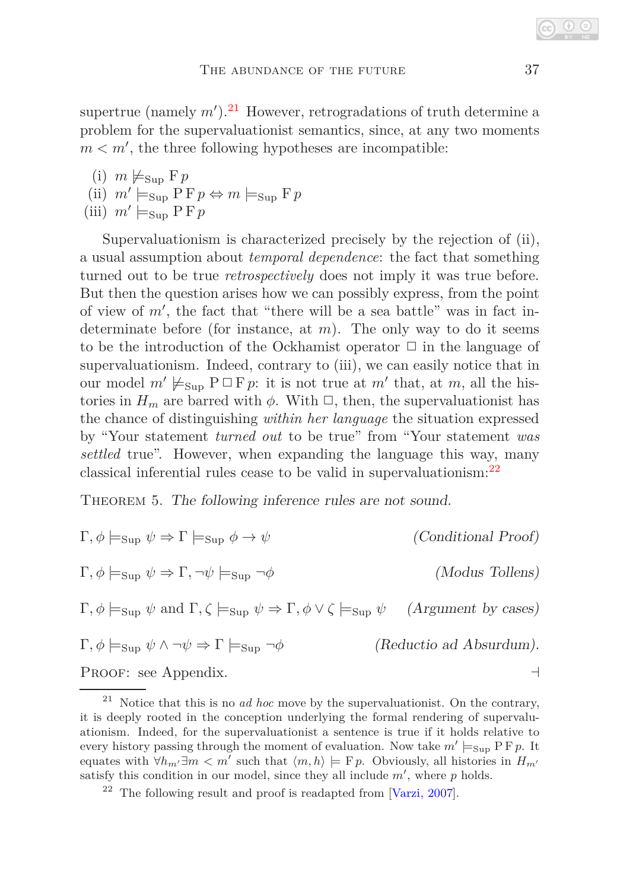supertrue (namely  $m'$ ).<sup>[21](#page-16-0)</sup> However, retrogradations of truth determine a problem for the supervaluationist semantics, since, at any two moments  $m < m'$ , the three following hypotheses are incompatible:

(i) 
$$
m \not\models_{\text{Sup}} \text{F} p
$$

(ii) 
$$
m' \models_{\text{Sup}} \text{P} \text{F} p \Leftrightarrow m \models_{\text{Sup}} \text{F} p
$$

(iii)  $m' \models_{\text{Sup}} P F p$ 

Supervaluationism is characterized precisely by the rejection of (ii), a usual assumption about *temporal dependence*: the fact that something turned out to be true *retrospectively* does not imply it was true before. But then the question arises how we can possibly express, from the point of view of *m*′ , the fact that "there will be a sea battle" was in fact indeterminate before (for instance, at *m*). The only way to do it seems to be the introduction of the Ockhamist operator  $\Box$  in the language of supervaluationism. Indeed, contrary to (iii), we can easily notice that in our model  $m' \not\models_{\text{Sup}} P \Box F p$ : it is not true at  $m'$  that, at  $m$ , all the histories in  $H_m$  are barred with  $\phi$ . With  $\Box$ , then, the supervaluationist has the chance of distinguishing *within her language* the situation expressed by "Your statement *turned out* to be true" from "Your statement *was settled* true". However, when expanding the language this way, many classical inferential rules cease to be valid in supervaluationism:[22](#page-16-1)

THEOREM 5. The following inference rules are not sound.

| $\Gamma, \phi \models_{\text{Sup}} \psi \Rightarrow \Gamma \models_{\text{Sup}} \phi \to \psi$                                                              | (Conditional Proof)     |
|-------------------------------------------------------------------------------------------------------------------------------------------------------------|-------------------------|
| $\Gamma, \phi \models_{\text{Sup}} \psi \Rightarrow \Gamma, \neg \psi \models_{\text{Sup}} \neg \phi$                                                       | (Modus Tollens)         |
| $\Gamma, \phi \models_{\text{Sup}} \psi \text{ and } \Gamma, \zeta \models_{\text{Sup}} \psi \Rightarrow \Gamma, \phi \vee \zeta \models_{\text{Sup}} \psi$ | (Argument by cases)     |
| $\Gamma, \phi \models_{\text{Sup}} \psi \land \neg \psi \Rightarrow \Gamma \models_{\text{Sup}} \neg \phi$                                                  | (Reductio ad Absurdum). |
| $D_{\mathcal{D}} \circ \circ \circ \circ \qquad \qquad \Lambda \qquad \qquad \mathbf{1}^*$                                                                  |                         |

Proof: see Appendix. ⊣

<span id="page-16-0"></span><sup>21</sup> Notice that this is no *ad hoc* move by the supervaluationist. On the contrary, it is deeply rooted in the conception underlying the formal rendering of supervaluationism. Indeed, for the supervaluationist a sentence is true if it holds relative to every history passing through the moment of evaluation. Now take  $m' \models_{\text{Sup}} P F p$ . It equates with  $\forall h_{m'} \exists m < m'$  such that  $\langle m, h \rangle \models Fp$ . Obviously, all histories in  $H_{m'}$ satisfy this condition in our model, since they all include  $m'$ , where  $p$  holds.

<span id="page-16-1"></span> $22$  The following result and proof is readapted from [\[Varzi, 2007\]](#page-22-13).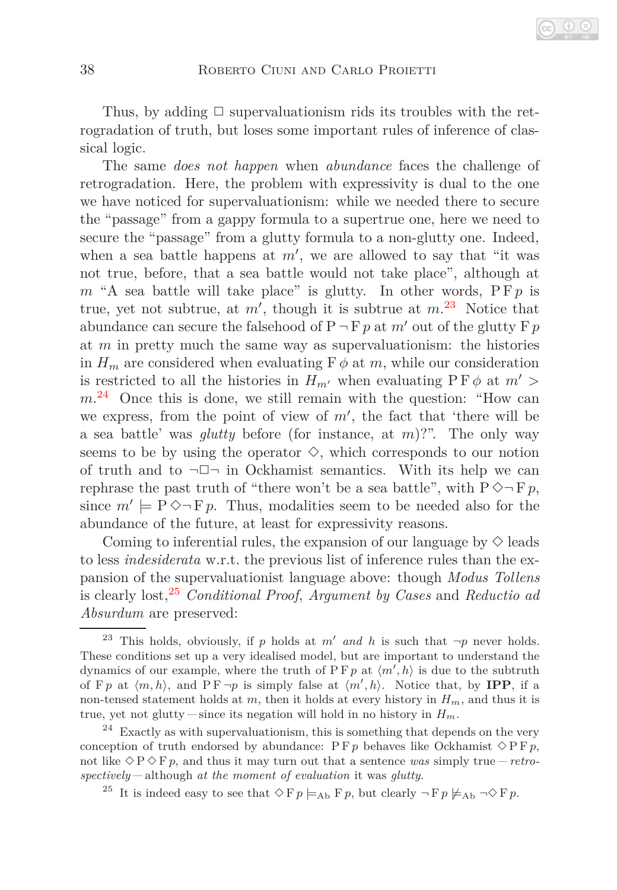Thus, by adding  $\Box$  supervaluationism rids its troubles with the retrogradation of truth, but loses some important rules of inference of classical logic.

The same *does not happen* when *abundance* faces the challenge of retrogradation. Here, the problem with expressivity is dual to the one we have noticed for supervaluationism: while we needed there to secure the "passage" from a gappy formula to a supertrue one, here we need to secure the "passage" from a glutty formula to a non-glutty one. Indeed, when a sea battle happens at *m*′ , we are allowed to say that "it was not true, before, that a sea battle would not take place", although at  $m$  "A sea battle will take place" is glutty. In other words,  $P F p$  is true, yet not subtrue, at *m*′ , though it is subtrue at *m*. [23](#page-17-0) Notice that abundance can secure the falsehood of  $P \neg F p$  at *m'* out of the glutty  $F p$ at *m* in pretty much the same way as supervaluationism: the histories in  $H_m$  are considered when evaluating  $\mathbf{F}\phi$  at *m*, while our consideration is restricted to all the histories in  $H_{m'}$  when evaluating  $P F \phi$  at  $m' >$ *m*. [24](#page-17-1) Once this is done, we still remain with the question: "How can we express, from the point of view of *m*′ , the fact that 'there will be a sea battle' was *glutty* before (for instance, at *m*)?". The only way seems to be by using the operator  $\diamondsuit$ , which corresponds to our notion of truth and to  $\neg \Box \neg$  in Ockhamist semantics. With its help we can rephrase the past truth of "there won't be a sea battle", with  $P \Diamond \neg F p$ , since  $m' \models P \Diamond \neg Fp$ . Thus, modalities seem to be needed also for the abundance of the future, at least for expressivity reasons.

Coming to inferential rules, the expansion of our language by  $\Diamond$  leads to less *indesiderata* w.r.t. the previous list of inference rules than the expansion of the supervaluationist language above: though *Modus Tollens* is clearly lost,[25](#page-17-2) *Conditional Proof*, *Argument by Cases* and *Reductio ad Absurdum* are preserved:

<span id="page-17-0"></span><sup>&</sup>lt;sup>23</sup> This holds, obviously, if *p* holds at *m'* and *h* is such that  $\neg p$  never holds. These conditions set up a very idealised model, but are important to understand the dynamics of our example, where the truth of  $\overline{P}$  F  $p$  at  $\langle m', h \rangle$  is due to the subtruth of F *p* at  $\langle m, h \rangle$ , and P F  $\neg p$  is simply false at  $\langle m', h \rangle$ . Notice that, by **IPP**, if a non-tensed statement holds at *m*, then it holds at every history in *Hm*, and thus it is true, yet not glutty – since its negation will hold in no history in  $H_m$ .

<span id="page-17-1"></span> $24$  Exactly as with supervaluationism, this is something that depends on the very conception of truth endorsed by abundance:  $P \nvdash p$  behaves like Ockhamist  $\Diamond P \nvdash p$ , not like  $\Diamond P \Diamond F p$ , and thus it may turn out that a sentence was simply true – *retrospectively* although *at the moment of evaluation* it was *glutty*.

<span id="page-17-2"></span><sup>&</sup>lt;sup>25</sup> It is indeed easy to see that  $\Diamond F p \models_{Ab} F p$ , but clearly  $\neg F p \not\models_{Ab} \neg \Diamond F p$ .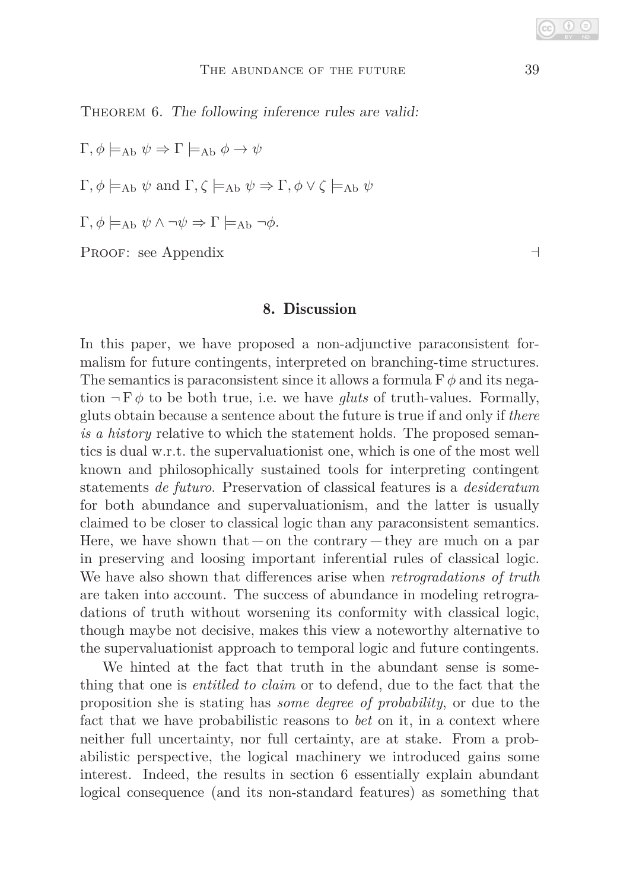THEOREM 6. The following inference rules are valid:

 $\Gamma, \phi \models_{\text{Ab}} \psi \Rightarrow \Gamma \models_{\text{Ab}} \phi \to \psi$  $\Gamma, \phi \models_{\text{Ab}} \psi \text{ and } \Gamma, \zeta \models_{\text{Ab}} \psi \Rightarrow \Gamma, \phi \vee \zeta \models_{\text{Ab}} \psi$  $Γ, φ \models_{\text{Ab}} ψ ∧ ¬ψ ⇒ Γ \models_{\text{Ab}} ¬φ.$ 

Proof: see Appendix ⊣

#### 8. Discussion

In this paper, we have proposed a non-adjunctive paraconsistent formalism for future contingents, interpreted on branching-time structures. The semantics is paraconsistent since it allows a formula  $F \phi$  and its negation  $\neg$  F $\phi$  to be both true, i.e. we have *gluts* of truth-values. Formally, gluts obtain because a sentence about the future is true if and only if *there is a history* relative to which the statement holds. The proposed semantics is dual w.r.t. the supervaluationist one, which is one of the most well known and philosophically sustained tools for interpreting contingent statements *de futuro*. Preservation of classical features is a *desideratum* for both abundance and supervaluationism, and the latter is usually claimed to be closer to classical logic than any paraconsistent semantics. Here, we have shown that  $-\text{on}$  the contrary  $-\text{they}$  are much on a par in preserving and loosing important inferential rules of classical logic. We have also shown that differences arise when *retrogradations of truth* are taken into account. The success of abundance in modeling retrogradations of truth without worsening its conformity with classical logic, though maybe not decisive, makes this view a noteworthy alternative to the supervaluationist approach to temporal logic and future contingents.

We hinted at the fact that truth in the abundant sense is something that one is *entitled to claim* or to defend, due to the fact that the proposition she is stating has *some degree of probability*, or due to the fact that we have probabilistic reasons to *bet* on it, in a context where neither full uncertainty, nor full certainty, are at stake. From a probabilistic perspective, the logical machinery we introduced gains some interest. Indeed, the results in section 6 essentially explain abundant logical consequence (and its non-standard features) as something that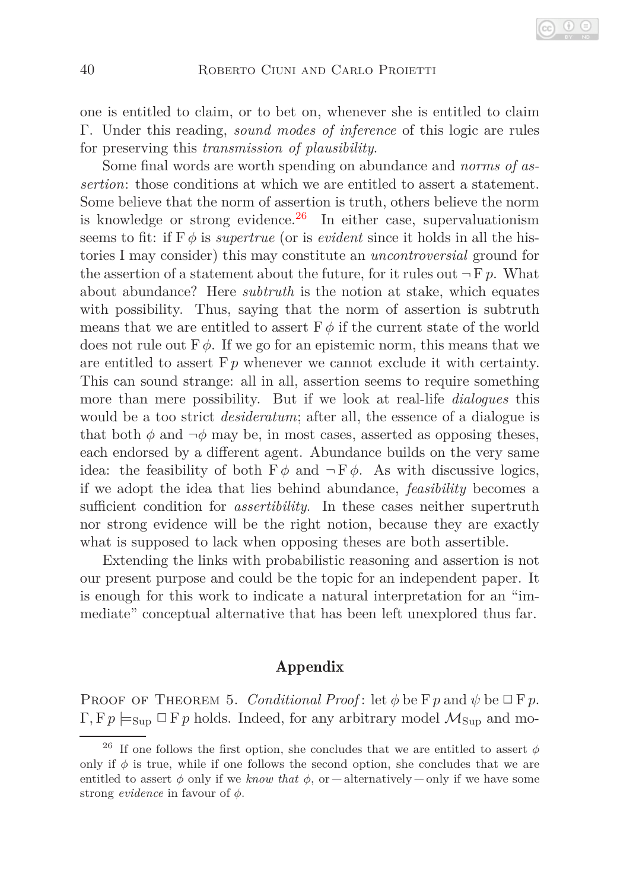one is entitled to claim, or to bet on, whenever she is entitled to claim Γ. Under this reading, *sound modes of inference* of this logic are rules for preserving this *transmission of plausibility*.

Some final words are worth spending on abundance and *norms of assertion*: those conditions at which we are entitled to assert a statement. Some believe that the norm of assertion is truth, others believe the norm is knowledge or strong evidence. $^{26}$  $^{26}$  $^{26}$  In either case, supervaluationism seems to fit: if  $F \phi$  is *supertrue* (or is *evident* since it holds in all the histories I may consider) this may constitute an *uncontroversial* ground for the assertion of a statement about the future, for it rules out  $\neg F p$ . What about abundance? Here *subtruth* is the notion at stake, which equates with possibility. Thus, saying that the norm of assertion is subtruth means that we are entitled to assert  $F \phi$  if the current state of the world does not rule out F*φ*. If we go for an epistemic norm, this means that we are entitled to assert  $F p$  whenever we cannot exclude it with certainty. This can sound strange: all in all, assertion seems to require something more than mere possibility. But if we look at real-life *dialogues* this would be a too strict *desideratum*; after all, the essence of a dialogue is that both  $\phi$  and  $\neg \phi$  may be, in most cases, asserted as opposing theses, each endorsed by a different agent. Abundance builds on the very same idea: the feasibility of both  $\mathbf{F}\phi$  and  $\neg \mathbf{F}\phi$ . As with discussive logics, if we adopt the idea that lies behind abundance, *feasibility* becomes a sufficient condition for *assertibility*. In these cases neither supertruth nor strong evidence will be the right notion, because they are exactly what is supposed to lack when opposing theses are both assertible.

Extending the links with probabilistic reasoning and assertion is not our present purpose and could be the topic for an independent paper. It is enough for this work to indicate a natural interpretation for an "immediate" conceptual alternative that has been left unexplored thus far.

### Appendix

**PROOF OF THEOREM 5.** *Conditional Proof*: let  $\phi$  be  $\Gamma p$  and  $\psi$  be  $\Box$   $\Gamma p$ .  $\Gamma, \mathrm{F}p \models_{\mathrm{Sup}} \Box \mathrm{F}p$  holds. Indeed, for any arbitrary model  $\mathcal{M}_{\mathrm{Sup}}$  and mo-

<span id="page-19-0"></span><sup>&</sup>lt;sup>26</sup> If one follows the first option, she concludes that we are entitled to assert  $\phi$ only if  $\phi$  is true, while if one follows the second option, she concludes that we are entitled to assert  $\phi$  only if we *know that*  $\phi$ , or  $-$  alternatively  $-$  only if we have some strong *evidence* in favour of *φ*.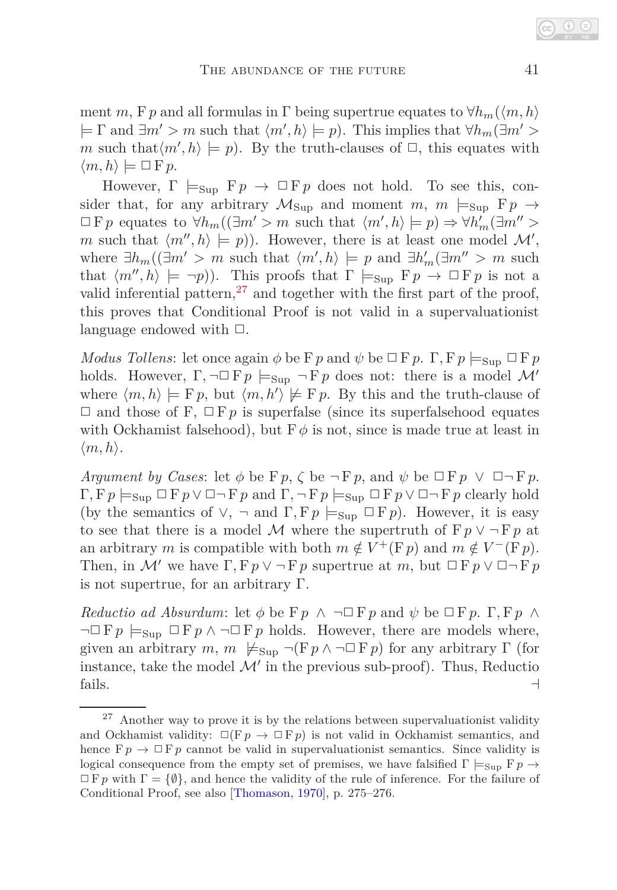ment *m*, F *p* and all formulas in  $\Gamma$  being supertrue equates to  $\forall h_m(\langle m, h \rangle)$  $\models \Gamma$  and  $\exists m' > m$  such that  $\langle m', h \rangle \models p$ ). This implies that  $\forall h_m(\exists m' >$ *m* such that $\langle m', h \rangle \models p$ . By the truth-clauses of  $\Box$ , this equates with  $\langle m, h \rangle \models \Box F p$ .

However,  $\Gamma \models_{\text{Sun}} \mathbb{F} p \to \Box \mathbb{F} p$  does not hold. To see this, consider that, for any arbitrary  $M_{\text{Sun}}$  and moment  $m$ ,  $m \models_{\text{Sun}} \mathbb{F} p \rightarrow$  $\Box$  F p equates to  $\forall h_m((\exists m' > m \text{ such that } \langle m', h \rangle \models p) \Rightarrow \forall h'_m(\exists m'' > m)$ *m* such that  $\langle m'' , h \rangle \models p$ ). However, there is at least one model  $\mathcal{M}'$ , where  $\exists h_m(\exists m' > m \text{ such that } \langle m', h \rangle \models p \text{ and } \exists h'_m(\exists m'' > m \text{ such }$ that  $\langle m'', h \rangle \models \neg p$ ). This proofs that  $\Gamma \models_{\text{Sup }} \mathbb{F} p \rightarrow \Box \mathbb{F} p$  is not a valid inferential pattern,<sup>[27](#page-20-0)</sup> and together with the first part of the proof, this proves that Conditional Proof is not valid in a supervaluationist language endowed with  $\Box$ .

*Modus Tollens*: let once again  $\phi$  be  $\Gamma p$  and  $\psi$  be  $\Box$   $\Gamma p$ .  $\Gamma$ ,  $\Gamma p \models_{\text{Sup}} \Box$   $\Gamma p$ holds. However,  $\Gamma$ ,  $\neg \Box F p \models_{\text{Sup}} \neg F p$  does not: there is a model M' where  $\langle m, h \rangle \models F p$ , but  $\langle m, h' \rangle \not\models F p$ . By this and the truth-clause of  $\Box$  and those of F,  $\Box$  F p is superfalse (since its superfalsehood equates with Ockhamist falsehood), but  $F\phi$  is not, since is made true at least in  $\langle m, h \rangle$ .

*Argument by Cases*: let  $\phi$  be  $F p$ ,  $\zeta$  be  $\neg F p$ , and  $\psi$  be  $\neg F p \vee \Box \neg F p$ .  $\Gamma, Fp \models_{\text{Sup}} \Box Fp \lor \Box \neg Fp$  and  $\Gamma, \neg Fp \models_{\text{Sup}} \Box Fp \lor \Box \neg Fp$  clearly hold (by the semantics of  $\vee$ ,  $\neg$  and  $\Gamma$ ,  $Fp \models_{\text{Sup}} \Box Fp$ ). However, it is easy to see that there is a model M where the supertruth of  $F p \vee \neg F p$  at an arbitrary *m* is compatible with both  $m \notin V^+(\mathbf{F}p)$  and  $m \notin V^-(\mathbf{F}p)$ . Then, in M' we have  $\Gamma$ ,  $F p \vee \neg F p$  supertrue at m, but  $\Box F p \vee \Box \neg F p$ is not supertrue, for an arbitrary Γ.

*Reductio ad Absurdum*: let  $\phi$  be  $\vdash p \land \neg \Box F p$  and  $\psi$  be  $\Box F p$ .  $\Gamma, F p \land \neg \Box F$  $\neg \Box F p \models_{\text{Sun}} \Box F p \land \neg \Box F p$  holds. However, there are models where, given an arbitrary  $m, m \nvDash_{\text{Sub}} \neg (Fp \land \neg \Box Fp)$  for any arbitrary  $\Gamma$  (for instance, take the model  $\mathcal{M}'$  in the previous sub-proof). Thus, Reductio fails.  $\Box$ 

<span id="page-20-0"></span> $27$  Another way to prove it is by the relations between supervaluationist validity and Ockhamist validity:  $\square(\nabla p \rightarrow \square \nabla p)$  is not valid in Ockhamist semantics, and hence  $F p \rightarrow \Box F p$  cannot be valid in supervaluations is semantics. Since validity is logical consequence from the empty set of premises, we have falsified  $\Gamma \models_{\text{Supp}} \mathbb{F} p \rightarrow$  $\Box$  F p with  $\Gamma = \{\emptyset\}$ , and hence the validity of the rule of inference. For the failure of Conditional Proof, see also [\[Thomason, 1970\]](#page-22-5), p. 275–276.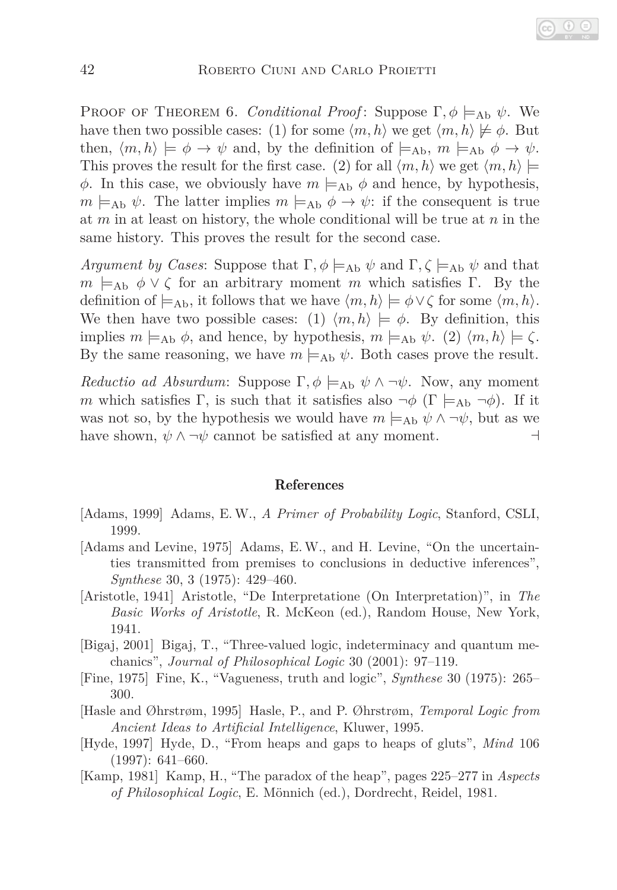PROOF OF THEOREM 6. *Conditional Proof*: Suppose  $\Gamma, \phi \models_{\text{Ab}} \psi$ . We have then two possible cases: (1) for some  $\langle m, h \rangle$  we get  $\langle m, h \rangle \not\models \phi$ . But then,  $\langle m, h \rangle \models \phi \rightarrow \psi$  and, by the definition of  $\models_{\text{Ab}} m \models_{\text{Ab}} \phi \rightarrow \psi$ . This proves the result for the first case. (2) for all  $\langle m, h \rangle$  we get  $\langle m, h \rangle \models$ *φ*. In this case, we obviously have  $m \models_{\text{Ab}} \phi$  and hence, by hypothesis,  $m \models_{\text{Ab}} \psi$ . The latter implies  $m \models_{\text{Ab}} \phi \rightarrow \psi$ : if the consequent is true at *m* in at least on history, the whole conditional will be true at *n* in the same history. This proves the result for the second case.

*Argument by Cases:* Suppose that  $\Gamma$ ,  $\phi$  |=<sub>Ab</sub>  $\psi$  and  $\Gamma$ ,  $\zeta$  |=<sub>Ab</sub>  $\psi$  and that  $m \models_{\text{Ab}} \phi \lor \zeta$  for an arbitrary moment *m* which satisfies Γ. By the definition of  $\models$ <sub>Ab</sub>, it follows that we have  $\langle m, h \rangle \models \phi \lor \zeta$  for some  $\langle m, h \rangle$ . We then have two possible cases: (1)  $\langle m, h \rangle \models \phi$ . By definition, this implies  $m \models_{\text{Ab}} \phi$ , and hence, by hypothesis,  $m \models_{\text{Ab}} \psi$ . (2)  $\langle m, h \rangle \models \zeta$ . By the same reasoning, we have  $m \models_{\text{Ab}} \psi$ . Both cases prove the result.

*Reductio ad Absurdum*: Suppose  $\Gamma$ ,  $\phi$   $\models$ <sub>Ab</sub>  $\psi \wedge \neg \psi$ . Now, any moment *m* which satisfies Γ, is such that it satisfies also  $\neg \phi$  (Γ  $\models$ <sub>Ab</sub>  $\neg \phi$ ). If it was not so, by the hypothesis we would have  $m \models_{\text{Ab}} \psi \land \neg \psi$ , but as we have shown,  $\psi \wedge \neg \psi$  cannot be satisfied at any moment. ⊣

#### References

- <span id="page-21-7"></span>[Adams, 1999] Adams, E. W., *A Primer of Probability Logic*, Stanford, CSLI, 1999.
- <span id="page-21-6"></span>[Adams and Levine, 1975] Adams, E. W., and H. Levine, "On the uncertainties transmitted from premises to conclusions in deductive inferences", *Synthese* 30, 3 (1975): 429–460.
- <span id="page-21-3"></span>[Aristotle, 1941] Aristotle, "De Interpretatione (On Interpretation)", in *The Basic Works of Aristotle*, R. McKeon (ed.), Random House, New York, 1941.
- <span id="page-21-2"></span>[Bigaj, 2001] Bigaj, T., "Three-valued logic, indeterminacy and quantum mechanics", *Journal of Philosophical Logic* 30 (2001): 97–119.
- <span id="page-21-0"></span>[Fine, 1975] Fine, K., "Vagueness, truth and logic", *Synthese* 30 (1975): 265– 300.
- <span id="page-21-4"></span>[Hasle and Øhrstrøm, 1995] Hasle, P., and P. Øhrstrøm, *Temporal Logic from Ancient Ideas to Artificial Intelligence*, Kluwer, 1995.
- <span id="page-21-5"></span>[Hyde, 1997] Hyde, D., "From heaps and gaps to heaps of gluts", *Mind* 106 (1997): 641–660.
- <span id="page-21-1"></span>[Kamp, 1981] Kamp, H., "The paradox of the heap", pages 225–277 in *Aspects of Philosophical Logic*, E. Mönnich (ed.), Dordrecht, Reidel, 1981.